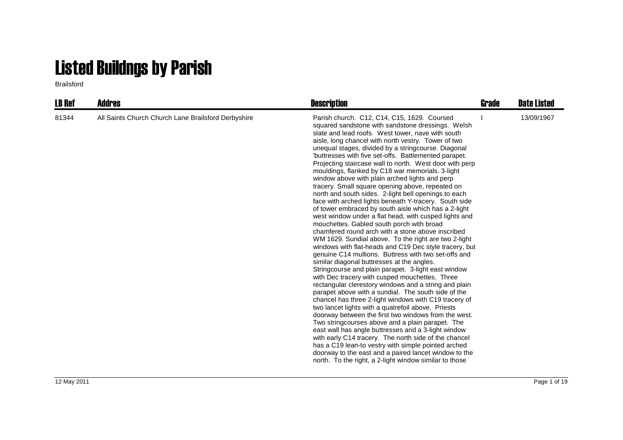## Listed Buildngs by Parish

Brailsford

| <b>LB Ref</b> | <b>Addres</b>                                       | <b>Description</b>                                                                                                                                                                                                                                                                                                                                                                                                                                                                                                                                                                                                                                                                                                                                                                                                                                                                                                                                                                                                                                                                                                                                                                                                                                                                                                                                                                                                                                                                                                                                                                                                                                                                                                                                                                                                                                           | Grade | <b>Date Listed</b> |
|---------------|-----------------------------------------------------|--------------------------------------------------------------------------------------------------------------------------------------------------------------------------------------------------------------------------------------------------------------------------------------------------------------------------------------------------------------------------------------------------------------------------------------------------------------------------------------------------------------------------------------------------------------------------------------------------------------------------------------------------------------------------------------------------------------------------------------------------------------------------------------------------------------------------------------------------------------------------------------------------------------------------------------------------------------------------------------------------------------------------------------------------------------------------------------------------------------------------------------------------------------------------------------------------------------------------------------------------------------------------------------------------------------------------------------------------------------------------------------------------------------------------------------------------------------------------------------------------------------------------------------------------------------------------------------------------------------------------------------------------------------------------------------------------------------------------------------------------------------------------------------------------------------------------------------------------------------|-------|--------------------|
| 81344         | All Saints Church Church Lane Brailsford Derbyshire | Parish church. C12, C14, C15, 1629. Coursed<br>squared sandstone with sandstone dressings. Welsh<br>slate and lead roofs. West tower, nave with south<br>aisle, long chancel with north vestry. Tower of two<br>unequal stages, divided by a stringcourse. Diagonal<br>'buttresses with five set-offs. Battlemented parapet.<br>Projecting staircase wall to north. West door with perp<br>mouldings, flanked by C18 war memorials. 3-light<br>window above with plain arched lights and perp<br>tracery. Small square opening above, repeated on<br>north and south sides. 2-light bell openings to each<br>face with arched lights beneath Y-tracery. South side<br>of tower embraced by south aisle which has a 2-light<br>west window under a flat head, with cusped lights and<br>mouchettes. Gabled south porch with broad<br>chamfered round arch with a stone above inscribed<br>WM 1629. Sundial above. To the right are two 2-light<br>windows with flat-heads and C19 Dec style tracery, but<br>genuine C14 mullions. Buttress with two set-offs and<br>similar diagonal buttresses at the angles.<br>Stringcourse and plain parapet. 3-light east window<br>with Dec tracery with cusped mouchettes. Three<br>rectangular clerestory windows and a string and plain<br>parapet above with a sundial. The south side of the<br>chancel has three 2-light windows with C19 tracery of<br>two lancet lights with a quatrefoil above. Priests<br>doorway between the first two windows from the west.<br>Two string courses above and a plain parapet. The<br>east wall has angle buttresses and a 3-light window<br>with early C14 tracery. The north side of the chancel<br>has a C19 lean-to vestry with simple pointed arched<br>doorway to the east and a paired lancet window to the<br>north. To the right, a 2-light window similar to those |       | 13/09/1967         |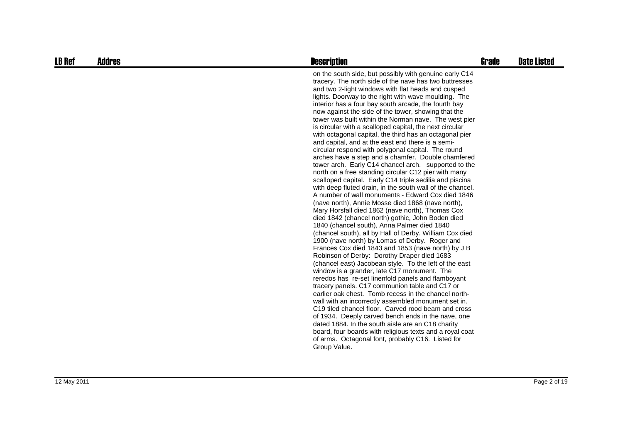| <b>LB Ref</b> | <b>Addres</b> | <b>Description</b>                                                                                                                                                                                                                                                                                                                                                                                                                                                                                                                                                                                                                                                                                                                                                                                                                                                                                                                                                                                                                                                                                                                                                                                                                                                                                                                                                                                                                                                                                                                                                                                                                                                                                                                                                                                                                                                                                                                                                                                                                                                       | Grade | <b>Date Listed</b> |
|---------------|---------------|--------------------------------------------------------------------------------------------------------------------------------------------------------------------------------------------------------------------------------------------------------------------------------------------------------------------------------------------------------------------------------------------------------------------------------------------------------------------------------------------------------------------------------------------------------------------------------------------------------------------------------------------------------------------------------------------------------------------------------------------------------------------------------------------------------------------------------------------------------------------------------------------------------------------------------------------------------------------------------------------------------------------------------------------------------------------------------------------------------------------------------------------------------------------------------------------------------------------------------------------------------------------------------------------------------------------------------------------------------------------------------------------------------------------------------------------------------------------------------------------------------------------------------------------------------------------------------------------------------------------------------------------------------------------------------------------------------------------------------------------------------------------------------------------------------------------------------------------------------------------------------------------------------------------------------------------------------------------------------------------------------------------------------------------------------------------------|-------|--------------------|
|               |               | on the south side, but possibly with genuine early C14<br>tracery. The north side of the nave has two buttresses<br>and two 2-light windows with flat heads and cusped<br>lights. Doorway to the right with wave moulding. The<br>interior has a four bay south arcade, the fourth bay<br>now against the side of the tower, showing that the<br>tower was built within the Norman nave. The west pier<br>is circular with a scalloped capital, the next circular<br>with octagonal capital, the third has an octagonal pier<br>and capital, and at the east end there is a semi-<br>circular respond with polygonal capital. The round<br>arches have a step and a chamfer. Double chamfered<br>tower arch. Early C14 chancel arch. supported to the<br>north on a free standing circular C12 pier with many<br>scalloped capital. Early C14 triple sedilia and piscina<br>with deep fluted drain, in the south wall of the chancel.<br>A number of wall monuments - Edward Cox died 1846<br>(nave north), Annie Mosse died 1868 (nave north),<br>Mary Horsfall died 1862 (nave north), Thomas Cox<br>died 1842 (chancel north) gothic, John Boden died<br>1840 (chancel south), Anna Palmer died 1840<br>(chancel south), all by Hall of Derby. William Cox died<br>1900 (nave north) by Lomas of Derby. Roger and<br>Frances Cox died 1843 and 1853 (nave north) by J B<br>Robinson of Derby: Dorothy Draper died 1683<br>(chancel east) Jacobean style. To the left of the east<br>window is a grander, late C17 monument. The<br>reredos has re-set linenfold panels and flamboyant<br>tracery panels. C17 communion table and C17 or<br>earlier oak chest. Tomb recess in the chancel north-<br>wall with an incorrectly assembled monument set in.<br>C <sub>19</sub> tiled chancel floor. Carved rood beam and cross<br>of 1934. Deeply carved bench ends in the nave, one<br>dated 1884. In the south aisle are an C18 charity<br>board, four boards with religious texts and a royal coat<br>of arms. Octagonal font, probably C16. Listed for<br>Group Value. |       |                    |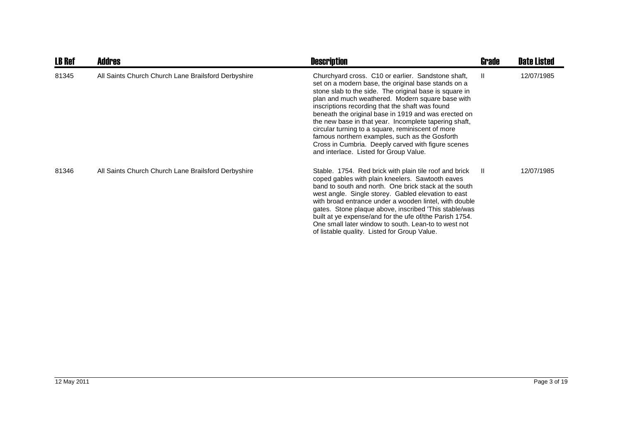| <b>LB Ref</b> | <b>Addres</b>                                       | <b>Description</b>                                                                                                                                                                                                                                                                                                                                                                                                                                                                                                                                                                                 | Grade        | <b>Date Listed</b> |
|---------------|-----------------------------------------------------|----------------------------------------------------------------------------------------------------------------------------------------------------------------------------------------------------------------------------------------------------------------------------------------------------------------------------------------------------------------------------------------------------------------------------------------------------------------------------------------------------------------------------------------------------------------------------------------------------|--------------|--------------------|
| 81345         | All Saints Church Church Lane Brailsford Derbyshire | Churchyard cross. C10 or earlier. Sandstone shaft,<br>set on a modern base, the original base stands on a<br>stone slab to the side. The original base is square in<br>plan and much weathered. Modern square base with<br>inscriptions recording that the shaft was found<br>beneath the original base in 1919 and was erected on<br>the new base in that year. Incomplete tapering shaft,<br>circular turning to a square, reminiscent of more<br>famous northern examples, such as the Gosforth<br>Cross in Cumbria. Deeply carved with figure scenes<br>and interlace. Listed for Group Value. | $\mathbf{I}$ | 12/07/1985         |
| 81346         | All Saints Church Church Lane Brailsford Derbyshire | Stable. 1754. Red brick with plain tile roof and brick<br>coped gables with plain kneelers. Sawtooth eaves<br>band to south and north. One brick stack at the south<br>west angle. Single storey. Gabled elevation to east<br>with broad entrance under a wooden lintel, with double<br>gates. Stone plaque above, inscribed This stable/was<br>built at ye expense/and for the ufe of/the Parish 1754.<br>One small later window to south. Lean-to to west not<br>of listable quality. Listed for Group Value.                                                                                    | H.           | 12/07/1985         |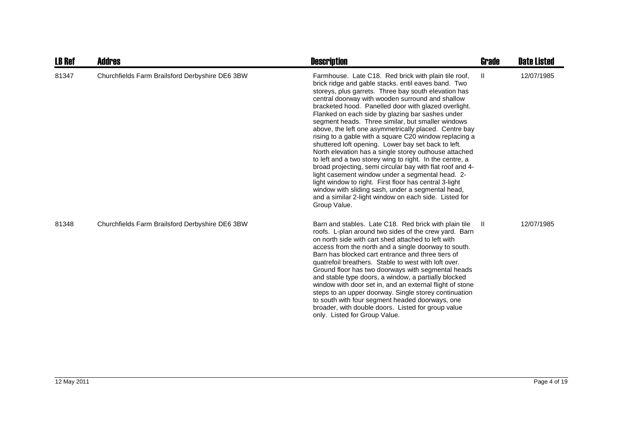| <b>LB Ref</b> | Addres                                          | <b>Description</b>                                                                                                                                                                                                                                                                                                                                                                                                                                                                                                                                                                                                                                                                                                                                                                                                                                                                                                                                                                               | Grade        | <b>Date Listed</b> |
|---------------|-------------------------------------------------|--------------------------------------------------------------------------------------------------------------------------------------------------------------------------------------------------------------------------------------------------------------------------------------------------------------------------------------------------------------------------------------------------------------------------------------------------------------------------------------------------------------------------------------------------------------------------------------------------------------------------------------------------------------------------------------------------------------------------------------------------------------------------------------------------------------------------------------------------------------------------------------------------------------------------------------------------------------------------------------------------|--------------|--------------------|
| 81347         | Churchfields Farm Brailsford Derbyshire DE6 3BW | Farmhouse. Late C18. Red brick with plain tile roof,<br>brick ridge and gable stacks. entil eaves band. Two<br>storeys, plus garrets. Three bay south elevation has<br>central doorway with wooden surround and shallow<br>bracketed hood. Panelled door with glazed overlight.<br>Flanked on each side by glazing bar sashes under<br>segment heads. Three similar, but smaller windows<br>above, the left one asymmetrically placed. Centre bay<br>rising to a gable with a square C20 window replacing a<br>shuttered loft opening. Lower bay set back to left.<br>North elevation has a single storey outhouse attached<br>to left and a two storey wing to right. In the centre, a<br>broad projecting, semi circular bay with flat roof and 4-<br>light casement window under a segmental head. 2-<br>light window to right. First floor has central 3-light<br>window with sliding sash, under a segmental head,<br>and a similar 2-light window on each side. Listed for<br>Group Value. | Ш            | 12/07/1985         |
| 81348         | Churchfields Farm Brailsford Derbyshire DE6 3BW | Barn and stables. Late C18. Red brick with plain tile<br>roofs. L-plan around two sides of the crew yard. Barn<br>on north side with cart shed attached to left with<br>access from the north and a single doorway to south.<br>Barn has blocked cart entrance and three tiers of<br>quatrefoil breathers. Stable to west with loft over.<br>Ground floor has two doorways with segmental heads<br>and stable type doors, a window, a partially blocked<br>window with door set in, and an external flight of stone<br>steps to an upper doorway. Single storey continuation<br>to south with four segment headed doorways, one<br>broader, with double doors. Listed for group value<br>only. Listed for Group Value.                                                                                                                                                                                                                                                                           | $\mathbf{H}$ | 12/07/1985         |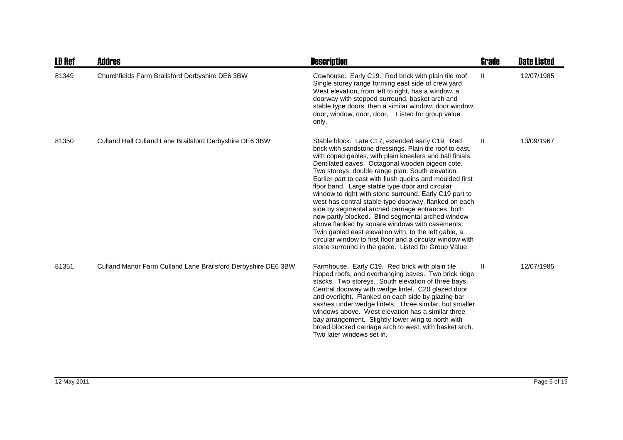| <b>LB Ref</b> | <b>Addres</b>                                                 | <b>Description</b>                                                                                                                                                                                                                                                                                                                                                                                                                                                                                                                                                                                                                                                                                                                                                                                                                                          | <b>Grade</b> | <b>Date Listed</b> |
|---------------|---------------------------------------------------------------|-------------------------------------------------------------------------------------------------------------------------------------------------------------------------------------------------------------------------------------------------------------------------------------------------------------------------------------------------------------------------------------------------------------------------------------------------------------------------------------------------------------------------------------------------------------------------------------------------------------------------------------------------------------------------------------------------------------------------------------------------------------------------------------------------------------------------------------------------------------|--------------|--------------------|
| 81349         | Churchfields Farm Brailsford Derbyshire DE6 3BW               | Cowhouse. Early C19. Red brick with plain tile roof.<br>Single storey range forming east side of crew yard.<br>West elevation, from left to right, has a window, a<br>doorway with stepped surround, basket arch and<br>stable type doors, then a similar window, door window,<br>door, window, door, door. Listed for group value<br>only.                                                                                                                                                                                                                                                                                                                                                                                                                                                                                                                 | $\mathbf{H}$ | 12/07/1985         |
| 81350         | Culland Hall Culland Lane Brailsford Derbyshire DE6 3BW       | Stable block. Late C17, extended early C19. Red<br>brick with sandstone dressings. Plain tile roof to east,<br>with coped gables, with plain kneelers and ball finials.<br>Dentilated eaves. Octagonal wooden pigeon cote.<br>Two storeys, double range plan. South elevation.<br>Earlier part to east with flush quoins and moulded first<br>floor band. Large stable type door and circular<br>window to right with stone surround. Early C19 part to<br>west has central stable-type doorway, flanked on each<br>side by segmental arched carriage entrances, both<br>now partly blocked. Blind segmental arched window<br>above flanked by square windows with casements.<br>Twin gabled east elevation with, to the left gable, a<br>circular window to first floor and a circular window with<br>stone surround in the gable. Listed for Group Value. | $\mathbf{H}$ | 13/09/1967         |
| 81351         | Culland Manor Farm Culland Lane Brailsford Derbyshire DE6 3BW | Farmhouse. Early C19. Red brick with plain tile<br>hipped roofs, and overhanging eaves. Two brick ridge<br>stacks. Two storeys. South elevation of three bays.<br>Central doorway with wedge lintel. C20 glazed door<br>and overlight. Flanked on each side by glazing bar<br>sashes under wedge lintels. Three similar, but smaller<br>windows above. West elevation has a similar three<br>bay arrangement. Slightly lower wing to north with<br>broad blocked carriage arch to west, with basket arch.<br>Two later windows set in.                                                                                                                                                                                                                                                                                                                      | Ш            | 12/07/1985         |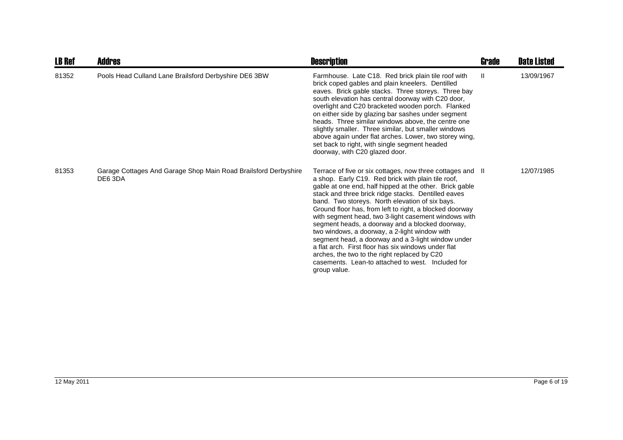| <b>LB Ref</b> | Addres                                                                     | <b>Description</b>                                                                                                                                                                                                                                                                                                                                                                                                                                                                                                                                                                                                                                                                                                                             | <b>Grade</b> | <b>Date Listed</b> |
|---------------|----------------------------------------------------------------------------|------------------------------------------------------------------------------------------------------------------------------------------------------------------------------------------------------------------------------------------------------------------------------------------------------------------------------------------------------------------------------------------------------------------------------------------------------------------------------------------------------------------------------------------------------------------------------------------------------------------------------------------------------------------------------------------------------------------------------------------------|--------------|--------------------|
| 81352         | Pools Head Culland Lane Brailsford Derbyshire DE6 3BW                      | Farmhouse. Late C18. Red brick plain tile roof with<br>brick coped gables and plain kneelers. Dentilled<br>eaves. Brick gable stacks. Three storeys. Three bay<br>south elevation has central doorway with C20 door,<br>overlight and C20 bracketed wooden porch. Flanked<br>on either side by glazing bar sashes under segment<br>heads. Three similar windows above, the centre one<br>slightly smaller. Three similar, but smaller windows<br>above again under flat arches. Lower, two storey wing,<br>set back to right, with single segment headed<br>doorway, with C20 glazed door.                                                                                                                                                     | Ш            | 13/09/1967         |
| 81353         | Garage Cottages And Garage Shop Main Road Brailsford Derbyshire<br>DE6 3DA | Terrace of five or six cottages, now three cottages and II<br>a shop. Early C19. Red brick with plain tile roof,<br>gable at one end, half hipped at the other. Brick gable<br>stack and three brick ridge stacks. Dentilled eaves<br>band. Two storeys. North elevation of six bays.<br>Ground floor has, from left to right, a blocked doorway<br>with segment head, two 3-light casement windows with<br>segment heads, a doorway and a blocked doorway,<br>two windows, a doorway, a 2-light window with<br>segment head, a doorway and a 3-light window under<br>a flat arch. First floor has six windows under flat<br>arches, the two to the right replaced by C20<br>casements. Lean-to attached to west. Included for<br>group value. |              | 12/07/1985         |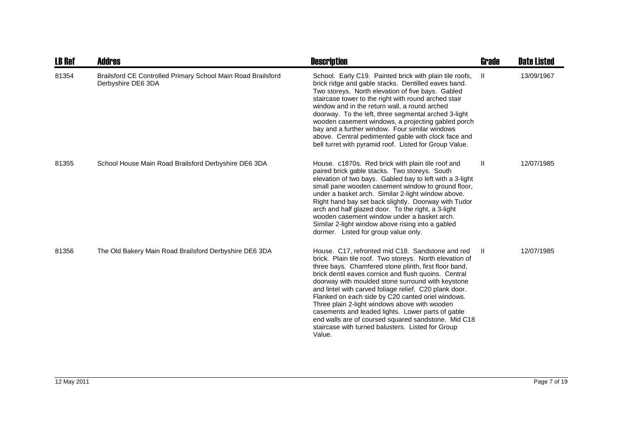| <b>LB Ref</b> | <b>Addres</b>                                                                      | <b>Description</b>                                                                                                                                                                                                                                                                                                                                                                                                                                                                                                                                                                                                           | Grade        | <b>Date Listed</b> |
|---------------|------------------------------------------------------------------------------------|------------------------------------------------------------------------------------------------------------------------------------------------------------------------------------------------------------------------------------------------------------------------------------------------------------------------------------------------------------------------------------------------------------------------------------------------------------------------------------------------------------------------------------------------------------------------------------------------------------------------------|--------------|--------------------|
| 81354         | Brailsford CE Controlled Primary School Main Road Brailsford<br>Derbyshire DE6 3DA | School. Early C19. Painted brick with plain tile roofs,<br>brick ridge and gable stacks. Dentilled eaves band.<br>Two storeys. North elevation of five bays. Gabled<br>staircase tower to the right with round arched stair<br>window and in the return wall, a round arched<br>doorway. To the left, three segmental arched 3-light<br>wooden casement windows, a projecting gabled porch<br>bay and a further window. Four similar windows<br>above. Central pedimented gable with clock face and<br>bell turret with pyramid roof. Listed for Group Value.                                                                | $\mathbf{H}$ | 13/09/1967         |
| 81355         | School House Main Road Brailsford Derbyshire DE6 3DA                               | House. c1870s. Red brick with plain tile roof and<br>paired brick gable stacks. Two storeys. South<br>elevation of two bays. Gabled bay to left with a 3-light<br>small pane wooden casement window to ground floor,<br>under a basket arch. Similar 2-light window above.<br>Right hand bay set back slightly. Doorway with Tudor<br>arch and half glazed door. To the right, a 3-light<br>wooden casement window under a basket arch.<br>Similar 2-light window above rising into a gabled<br>dormer. Listed for group value only.                                                                                         | Ш            | 12/07/1985         |
| 81356         | The Old Bakery Main Road Brailsford Derbyshire DE6 3DA                             | House. C17, refronted mid C18. Sandstone and red<br>brick. Plain tile roof. Two storeys. North elevation of<br>three bays. Chamfered stone plinth, first floor band,<br>brick dentil eaves cornice and flush quoins. Central<br>doorway with moulded stone surround with keystone<br>and lintel with carved foliage relief. C20 plank door.<br>Flanked on each side by C20 canted oriel windows.<br>Three plain 2-light windows above with wooden<br>casements and leaded lights. Lower parts of gable<br>end walls are of coursed squared sandstone. Mid C18<br>staircase with turned balusters. Listed for Group<br>Value. | H.           | 12/07/1985         |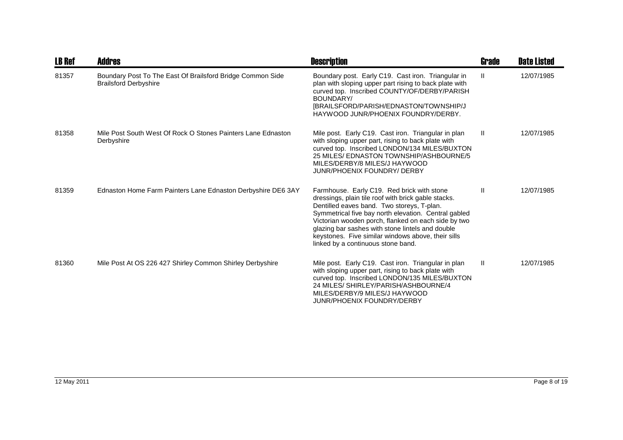| <b>LB Ref</b> | <b>Addres</b>                                                                              | <b>Description</b>                                                                                                                                                                                                                                                                                                                                                                                             | <b>Grade</b> | <b>Date Listed</b> |
|---------------|--------------------------------------------------------------------------------------------|----------------------------------------------------------------------------------------------------------------------------------------------------------------------------------------------------------------------------------------------------------------------------------------------------------------------------------------------------------------------------------------------------------------|--------------|--------------------|
| 81357         | Boundary Post To The East Of Brailsford Bridge Common Side<br><b>Brailsford Derbyshire</b> | Boundary post. Early C19. Cast iron. Triangular in<br>plan with sloping upper part rising to back plate with<br>curved top. Inscribed COUNTY/OF/DERBY/PARISH<br>BOUNDARY/<br>[BRAILSFORD/PARISH/EDNASTON/TOWNSHIP/J<br>HAYWOOD JUNR/PHOENIX FOUNDRY/DERBY.                                                                                                                                                     | Ш            | 12/07/1985         |
| 81358         | Mile Post South West Of Rock O Stones Painters Lane Ednaston<br>Derbyshire                 | Mile post. Early C19. Cast iron. Triangular in plan<br>with sloping upper part, rising to back plate with<br>curved top. Inscribed LONDON/134 MILES/BUXTON<br>25 MILES/ EDNASTON TOWNSHIP/ASHBOURNE/5<br>MILES/DERBY/8 MILES/J HAYWOOD<br><b>JUNR/PHOENIX FOUNDRY/ DERBY</b>                                                                                                                                   | Ш            | 12/07/1985         |
| 81359         | Ednaston Home Farm Painters Lane Ednaston Derbyshire DE6 3AY                               | Farmhouse. Early C19. Red brick with stone<br>dressings, plain tile roof with brick gable stacks.<br>Dentilled eaves band. Two storeys, T-plan.<br>Symmetrical five bay north elevation. Central gabled<br>Victorian wooden porch, flanked on each side by two<br>glazing bar sashes with stone lintels and double<br>keystones. Five similar windows above, their sills<br>linked by a continuous stone band. | Ш            | 12/07/1985         |
| 81360         | Mile Post At OS 226 427 Shirley Common Shirley Derbyshire                                  | Mile post. Early C19. Cast iron. Triangular in plan<br>with sloping upper part, rising to back plate with<br>curved top. Inscribed LONDON/135 MILES/BUXTON<br>24 MILES/ SHIRLEY/PARISH/ASHBOURNE/4<br>MILES/DERBY/9 MILES/J HAYWOOD<br><b>JUNR/PHOENIX FOUNDRY/DERBY</b>                                                                                                                                       | Ш            | 12/07/1985         |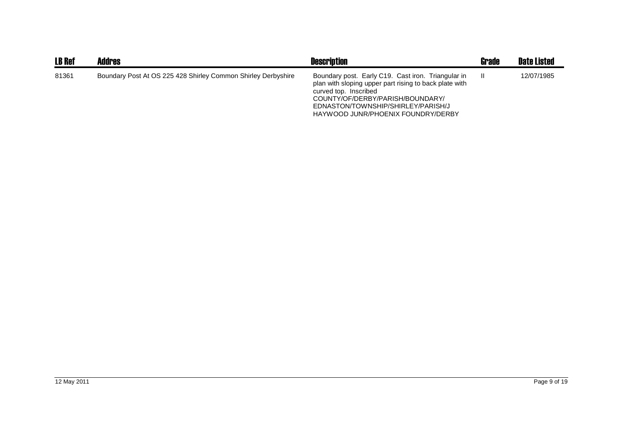| <b>LB Ref</b> | <b>Addres</b>                                                 | <b>Description</b>                                                                                                                                                                                                                                    | Grade | <b>Date Listed</b> |
|---------------|---------------------------------------------------------------|-------------------------------------------------------------------------------------------------------------------------------------------------------------------------------------------------------------------------------------------------------|-------|--------------------|
| 81361         | Boundary Post At OS 225 428 Shirley Common Shirley Derbyshire | Boundary post. Early C19. Cast iron. Triangular in<br>plan with sloping upper part rising to back plate with<br>curved top. Inscribed<br>COUNTY/OF/DERBY/PARISH/BOUNDARY/<br>EDNASTON/TOWNSHIP/SHIRLEY/PARISH/J<br>HAYWOOD JUNR/PHOENIX FOUNDRY/DERBY |       | 12/07/1985         |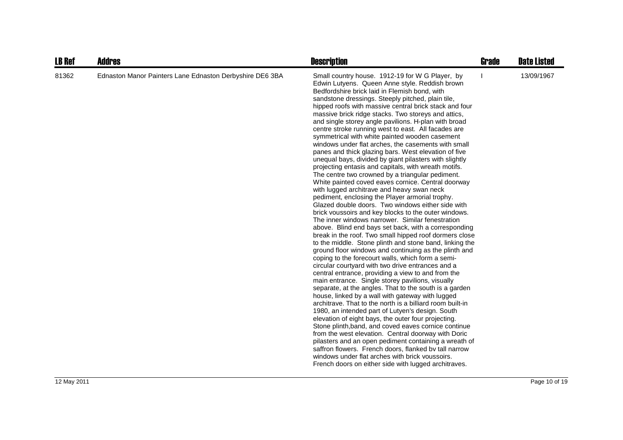| <b>LB Ref</b> | <b>Addres</b>                                            | <b>Description</b>                                                                                                                                                                                                                                                                                                                                                                                                                                                                                                                                                                                                                                                                                                                                                                                                                                                                                                                                                                                                                                                                                                                                                                                                                                                                                                                                                                                                                                                                                                                                                                                                                                                                                                                                                                                                                                                                                                                                                                                                                                                                                                                                                                                 | <b>Grade</b> | <b>Date Listed</b> |
|---------------|----------------------------------------------------------|----------------------------------------------------------------------------------------------------------------------------------------------------------------------------------------------------------------------------------------------------------------------------------------------------------------------------------------------------------------------------------------------------------------------------------------------------------------------------------------------------------------------------------------------------------------------------------------------------------------------------------------------------------------------------------------------------------------------------------------------------------------------------------------------------------------------------------------------------------------------------------------------------------------------------------------------------------------------------------------------------------------------------------------------------------------------------------------------------------------------------------------------------------------------------------------------------------------------------------------------------------------------------------------------------------------------------------------------------------------------------------------------------------------------------------------------------------------------------------------------------------------------------------------------------------------------------------------------------------------------------------------------------------------------------------------------------------------------------------------------------------------------------------------------------------------------------------------------------------------------------------------------------------------------------------------------------------------------------------------------------------------------------------------------------------------------------------------------------------------------------------------------------------------------------------------------------|--------------|--------------------|
| 81362         | Ednaston Manor Painters Lane Ednaston Derbyshire DE6 3BA | Small country house. 1912-19 for W G Player, by<br>Edwin Lutyens. Queen Anne style. Reddish brown<br>Bedfordshire brick laid in Flemish bond, with<br>sandstone dressings. Steeply pitched, plain tile,<br>hipped roofs with massive central brick stack and four<br>massive brick ridge stacks. Two storeys and attics,<br>and single storey angle pavilions. H-plan with broad<br>centre stroke running west to east. All facades are<br>symmetrical with white painted wooden casement<br>windows under flat arches, the casements with small<br>panes and thick glazing bars. West elevation of five<br>unequal bays, divided by giant pilasters with slightly<br>projecting entasis and capitals, with wreath motifs.<br>The centre two crowned by a triangular pediment.<br>White painted coved eaves cornice. Central doorway<br>with lugged architrave and heavy swan neck<br>pediment, enclosing the Player armorial trophy.<br>Glazed double doors. Two windows either side with<br>brick voussoirs and key blocks to the outer windows.<br>The inner windows narrower. Similar fenestration<br>above. Blind end bays set back, with a corresponding<br>break in the roof. Two small hipped roof dormers close<br>to the middle. Stone plinth and stone band, linking the<br>ground floor windows and continuing as the plinth and<br>coping to the forecourt walls, which form a semi-<br>circular courtyard with two drive entrances and a<br>central entrance, providing a view to and from the<br>main entrance. Single storey pavilions, visually<br>separate, at the angles. That to the south is a garden<br>house, linked by a wall with gateway with lugged<br>architrave. That to the north is a billiard room built-in<br>1980, an intended part of Lutyen's design. South<br>elevation of eight bays, the outer four projecting.<br>Stone plinth, band, and coved eaves cornice continue<br>from the west elevation. Central doorway with Doric<br>pilasters and an open pediment containing a wreath of<br>saffron flowers. French doors, flanked by tall narrow<br>windows under flat arches with brick voussoirs.<br>French doors on either side with lugged architraves. |              | 13/09/1967         |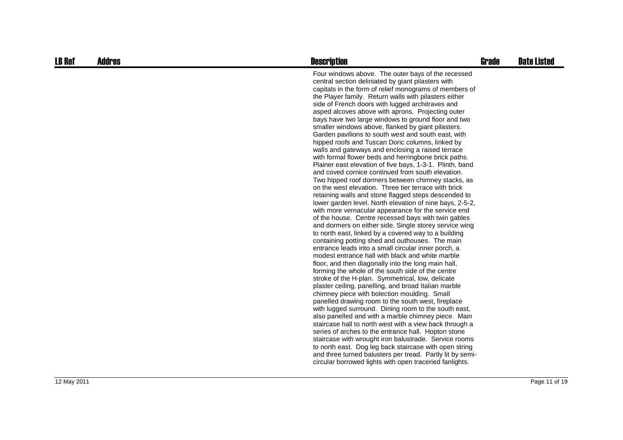| <b>LB Ref</b> | <b>Addres</b> | <b>Description</b>                                                                                                                                                                                                                                                                                                                                                                                                                                                                                                                                                                                                                                                                                                                                                                                                                                                                                                                                                                                                                                                                                                                                                                                                                                                                                                                                                                                                                                                                                                                                                                                                                                                                                                                                                                                                                                                                                                                                                                                                                                                                                                                                                                                                                   | <b>Grade</b> | <b>Date Listed</b> |
|---------------|---------------|--------------------------------------------------------------------------------------------------------------------------------------------------------------------------------------------------------------------------------------------------------------------------------------------------------------------------------------------------------------------------------------------------------------------------------------------------------------------------------------------------------------------------------------------------------------------------------------------------------------------------------------------------------------------------------------------------------------------------------------------------------------------------------------------------------------------------------------------------------------------------------------------------------------------------------------------------------------------------------------------------------------------------------------------------------------------------------------------------------------------------------------------------------------------------------------------------------------------------------------------------------------------------------------------------------------------------------------------------------------------------------------------------------------------------------------------------------------------------------------------------------------------------------------------------------------------------------------------------------------------------------------------------------------------------------------------------------------------------------------------------------------------------------------------------------------------------------------------------------------------------------------------------------------------------------------------------------------------------------------------------------------------------------------------------------------------------------------------------------------------------------------------------------------------------------------------------------------------------------------|--------------|--------------------|
|               |               | Four windows above. The outer bays of the recessed<br>central section deliniated by giant pilasters with<br>capitals in the form of relief monograms of members of<br>the Player family. Return walls with pilasters either<br>side of French doors with lugged architraves and<br>asped alcoves above with aprons. Projecting outer<br>bays have two large windows to ground floor and two<br>smaller windows above, flanked by giant pilasters.<br>Garden pavilions to south west and south east, with<br>hipped roofs and Tuscan Doric columns, linked by<br>walls and gateways and enclosing a raised terrace<br>with formal flower beds and herringbone brick paths.<br>Plainer east elevation of five bays, 1-3-1. Plinth, band<br>and coved cornice continued from south elevation.<br>Two hipped roof dormers between chimney stacks, as<br>on the west elevation. Three tier terrace with brick<br>retaining walls and stone flagged steps descended to<br>lower garden level. North elevation of nine bays, 2-5-2,<br>with more vernacular appearance for the service end<br>of the house. Centre recessed bays with twin gables<br>and dormers on either side. Single storey service wing<br>to north east, linked by a covered way to a building<br>containing potting shed and outhouses. The main<br>entrance leads into a small circular inner porch, a<br>modest entrance hall with black and white marble<br>floor, and then diagonally into the long main hall,<br>forming the whole of the south side of the centre<br>stroke of the H-plan. Symmetrical, low, delicate<br>plaster ceiling, panelling, and broad Italian marble<br>chimney piece with bolection moulding. Small<br>panelled drawing room to the south west, fireplace<br>with lugged surround. Dining room to the south east,<br>also panelled and with a marble chimney piece. Main<br>staircase hall to north west with a view back through a<br>series of arches to the entrance hall. Hopton stone<br>staircase with wrought iron balustrade. Service rooms<br>to north east. Dog leg back staircase with open string<br>and three turned balusters per tread. Partly lit by semi-<br>circular borrowed lights with open traceried fanlights. |              |                    |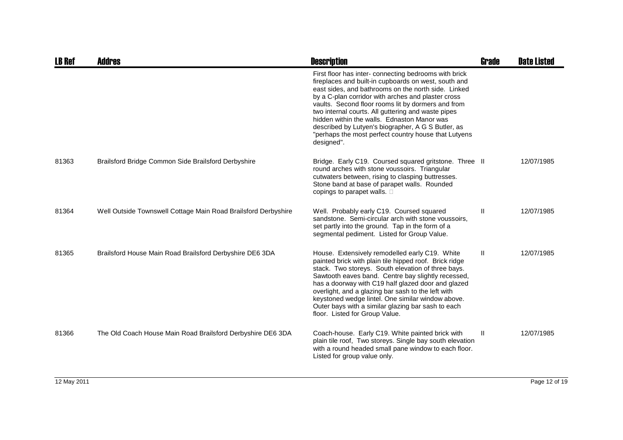| <b>LB Ref</b> | Addres                                                         | <b>Description</b>                                                                                                                                                                                                                                                                                                                                                                                                                                                                                                | <b>Grade</b> | <b>Date Listed</b> |
|---------------|----------------------------------------------------------------|-------------------------------------------------------------------------------------------------------------------------------------------------------------------------------------------------------------------------------------------------------------------------------------------------------------------------------------------------------------------------------------------------------------------------------------------------------------------------------------------------------------------|--------------|--------------------|
|               |                                                                | First floor has inter- connecting bedrooms with brick<br>fireplaces and built-in cupboards on west, south and<br>east sides, and bathrooms on the north side. Linked<br>by a C-plan corridor with arches and plaster cross<br>vaults. Second floor rooms lit by dormers and from<br>two internal courts. All guttering and waste pipes<br>hidden within the walls. Ednaston Manor was<br>described by Lutyen's biographer, A G S Butler, as<br>"perhaps the most perfect country house that Lutyens<br>designed". |              |                    |
| 81363         | Brailsford Bridge Common Side Brailsford Derbyshire            | Bridge. Early C19. Coursed squared gritstone. Three II<br>round arches with stone voussoirs. Triangular<br>cutwaters between, rising to clasping buttresses.<br>Stone band at base of parapet walls. Rounded<br>copings to parapet walls.                                                                                                                                                                                                                                                                         |              | 12/07/1985         |
| 81364         | Well Outside Townswell Cottage Main Road Brailsford Derbyshire | Well. Probably early C19. Coursed squared<br>sandstone. Semi-circular arch with stone voussoirs,<br>set partly into the ground. Tap in the form of a<br>segmental pediment. Listed for Group Value.                                                                                                                                                                                                                                                                                                               | $\mathbf{H}$ | 12/07/1985         |
| 81365         | Brailsford House Main Road Brailsford Derbyshire DE6 3DA       | House. Extensively remodelled early C19. White<br>painted brick with plain tile hipped roof. Brick ridge<br>stack. Two storeys. South elevation of three bays.<br>Sawtooth eaves band. Centre bay slightly recessed,<br>has a doorway with C19 half glazed door and glazed<br>overlight, and a glazing bar sash to the left with<br>keystoned wedge lintel. One similar window above.<br>Outer bays with a similar glazing bar sash to each<br>floor. Listed for Group Value.                                     | Ш            | 12/07/1985         |
| 81366         | The Old Coach House Main Road Brailsford Derbyshire DE6 3DA    | Coach-house. Early C19. White painted brick with<br>plain tile roof, Two storeys. Single bay south elevation<br>with a round headed small pane window to each floor.<br>Listed for group value only.                                                                                                                                                                                                                                                                                                              | $\mathbf{H}$ | 12/07/1985         |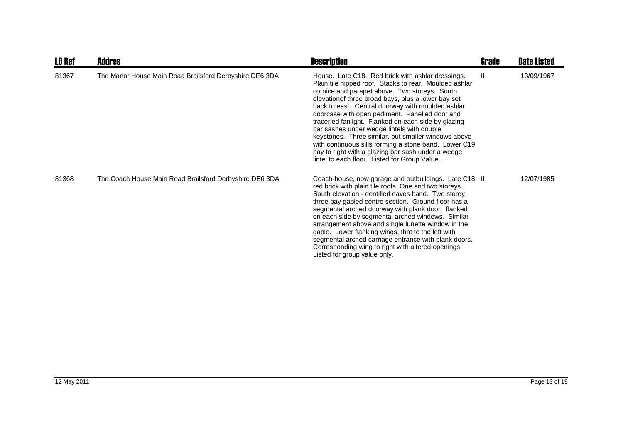| <b>LB Ref</b> | <b>Addres</b>                                           | <b>Description</b>                                                                                                                                                                                                                                                                                                                                                                                                                                                                                                                                                                                                                                    | Grade        | <b>Date Listed</b> |
|---------------|---------------------------------------------------------|-------------------------------------------------------------------------------------------------------------------------------------------------------------------------------------------------------------------------------------------------------------------------------------------------------------------------------------------------------------------------------------------------------------------------------------------------------------------------------------------------------------------------------------------------------------------------------------------------------------------------------------------------------|--------------|--------------------|
| 81367         | The Manor House Main Road Brailsford Derbyshire DE6 3DA | House. Late C18. Red brick with ashlar dressings.<br>Plain tile hipped roof. Stacks to rear. Moulded ashlar<br>cornice and parapet above. Two storeys. South<br>elevationof three broad bays, plus a lower bay set<br>back to east. Central doorway with moulded ashlar<br>doorcase with open pediment. Panelled door and<br>traceried fanlight. Flanked on each side by glazing<br>bar sashes under wedge lintels with double<br>keystones. Three similar, but smaller windows above<br>with continuous sills forming a stone band. Lower C19<br>bay to right with a glazing bar sash under a wedge<br>lintel to each floor. Listed for Group Value. | $\mathbf{H}$ | 13/09/1967         |
| 81368         | The Coach House Main Road Brailsford Derbyshire DE6 3DA | Coach-house, now garage and outbuildings. Late C18 II<br>red brick with plain tile roofs. One and two storeys.<br>South elevation - dentilled eaves band. Two storey,<br>three bay gabled centre section. Ground floor has a<br>segmental arched doorway with plank door, flanked<br>on each side by segmental arched windows. Similar<br>arrangement above and single lunette window in the<br>gable. Lower flanking wings, that to the left with<br>segmental arched carriage entrance with plank doors,<br>Corresponding wing to right with altered openings.<br>Listed for group value only.                                                      |              | 12/07/1985         |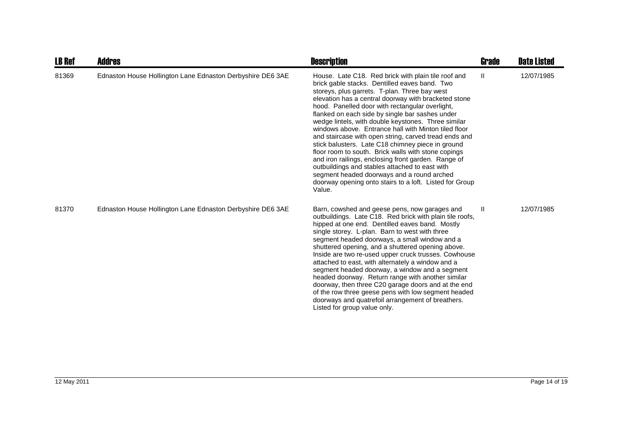| <b>LB Ref</b> | <b>Addres</b>                                              | <b>Description</b>                                                                                                                                                                                                                                                                                                                                                                                                                                                                                                                                                                                                                                                                                                                                                                                                                  | <b>Grade</b> | <b>Date Listed</b> |
|---------------|------------------------------------------------------------|-------------------------------------------------------------------------------------------------------------------------------------------------------------------------------------------------------------------------------------------------------------------------------------------------------------------------------------------------------------------------------------------------------------------------------------------------------------------------------------------------------------------------------------------------------------------------------------------------------------------------------------------------------------------------------------------------------------------------------------------------------------------------------------------------------------------------------------|--------------|--------------------|
| 81369         | Ednaston House Hollington Lane Ednaston Derbyshire DE6 3AE | House. Late C18. Red brick with plain tile roof and<br>brick gable stacks. Dentilled eaves band. Two<br>storeys, plus garrets. T-plan. Three bay west<br>elevation has a central doorway with bracketed stone<br>hood. Panelled door with rectangular overlight,<br>flanked on each side by single bar sashes under<br>wedge lintels, with double keystones. Three similar<br>windows above. Entrance hall with Minton tiled floor<br>and staircase with open string, carved tread ends and<br>stick balusters. Late C18 chimney piece in ground<br>floor room to south. Brick walls with stone copings<br>and iron railings, enclosing front garden. Range of<br>outbuildings and stables attached to east with<br>segment headed doorways and a round arched<br>doorway opening onto stairs to a loft. Listed for Group<br>Value. | Ш            | 12/07/1985         |
| 81370         | Ednaston House Hollington Lane Ednaston Derbyshire DE6 3AE | Barn, cowshed and geese pens, now garages and<br>outbuildings. Late C18. Red brick with plain tile roofs,<br>hipped at one end. Dentilled eaves band. Mostly<br>single storey. L-plan. Barn to west with three<br>segment headed doorways, a small window and a<br>shuttered opening, and a shuttered opening above.<br>Inside are two re-used upper cruck trusses. Cowhouse<br>attached to east, with alternately a window and a<br>segment headed doorway, a window and a segment<br>headed doorway. Return range with another similar<br>doorway, then three C20 garage doors and at the end<br>of the row three geese pens with low segment headed<br>doorways and quatrefoil arrangement of breathers.<br>Listed for group value only.                                                                                         | $\mathbf{H}$ | 12/07/1985         |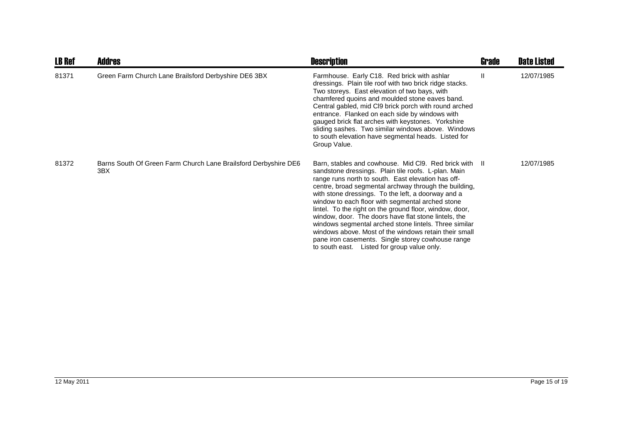| <b>LB Ref</b> | <b>Addres</b>                                                          | <b>Description</b>                                                                                                                                                                                                                                                                                                                                                                                                                                                                                                                                                                                                                                                              | Grade | <b>Date Listed</b> |
|---------------|------------------------------------------------------------------------|---------------------------------------------------------------------------------------------------------------------------------------------------------------------------------------------------------------------------------------------------------------------------------------------------------------------------------------------------------------------------------------------------------------------------------------------------------------------------------------------------------------------------------------------------------------------------------------------------------------------------------------------------------------------------------|-------|--------------------|
| 81371         | Green Farm Church Lane Brailsford Derbyshire DE6 3BX                   | Farmhouse. Early C18. Red brick with ashlar<br>dressings. Plain tile roof with two brick ridge stacks.<br>Two storeys. East elevation of two bays, with<br>chamfered quoins and moulded stone eaves band.<br>Central gabled, mid CI9 brick porch with round arched<br>entrance. Flanked on each side by windows with<br>gauged brick flat arches with keystones. Yorkshire<br>sliding sashes. Two similar windows above. Windows<br>to south elevation have segmental heads. Listed for<br>Group Value.                                                                                                                                                                         | Ш     | 12/07/1985         |
| 81372         | Barns South Of Green Farm Church Lane Brailsford Derbyshire DE6<br>3BX | Barn, stables and cowhouse. Mid Cl9. Red brick with II<br>sandstone dressings. Plain tile roofs. L-plan. Main<br>range runs north to south. East elevation has off-<br>centre, broad segmental archway through the building,<br>with stone dressings. To the left, a doorway and a<br>window to each floor with segmental arched stone<br>lintel. To the right on the ground floor, window, door,<br>window, door. The doors have flat stone lintels, the<br>windows segmental arched stone lintels. Three similar<br>windows above. Most of the windows retain their small<br>pane iron casements. Single storey cowhouse range<br>to south east. Listed for group value only. |       | 12/07/1985         |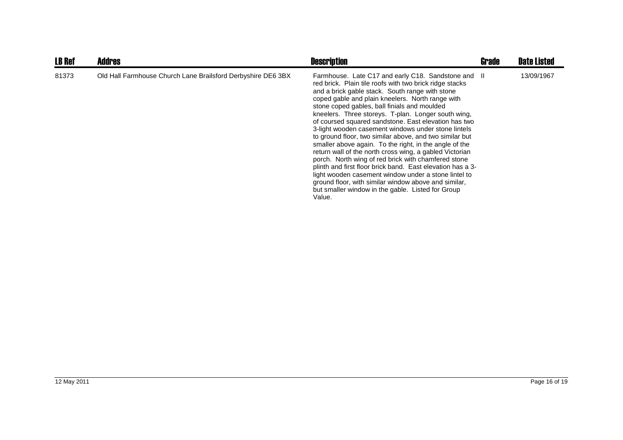| <b>LB Ref</b> | <b>Addres</b>                                                | <b>Description</b>                                                                                                                                                                                                                                                                                                                                                                                                                                                                                                                                                                                                                                                                                                                                                                                                                                                                                                              | Grade | <b>Date Listed</b> |
|---------------|--------------------------------------------------------------|---------------------------------------------------------------------------------------------------------------------------------------------------------------------------------------------------------------------------------------------------------------------------------------------------------------------------------------------------------------------------------------------------------------------------------------------------------------------------------------------------------------------------------------------------------------------------------------------------------------------------------------------------------------------------------------------------------------------------------------------------------------------------------------------------------------------------------------------------------------------------------------------------------------------------------|-------|--------------------|
| 81373         | Old Hall Farmhouse Church Lane Brailsford Derbyshire DE6 3BX | Farmhouse. Late C17 and early C18. Sandstone and II<br>red brick. Plain tile roofs with two brick ridge stacks<br>and a brick gable stack. South range with stone<br>coped gable and plain kneelers. North range with<br>stone coped gables, ball finials and moulded<br>kneelers. Three storeys. T-plan. Longer south wing,<br>of coursed squared sandstone. East elevation has two<br>3-light wooden casement windows under stone lintels<br>to ground floor, two similar above, and two similar but<br>smaller above again. To the right, in the angle of the<br>return wall of the north cross wing, a gabled Victorian<br>porch. North wing of red brick with chamfered stone<br>plinth and first floor brick band. East elevation has a 3-<br>light wooden casement window under a stone lintel to<br>ground floor, with similar window above and similar,<br>but smaller window in the gable. Listed for Group<br>Value. |       | 13/09/1967         |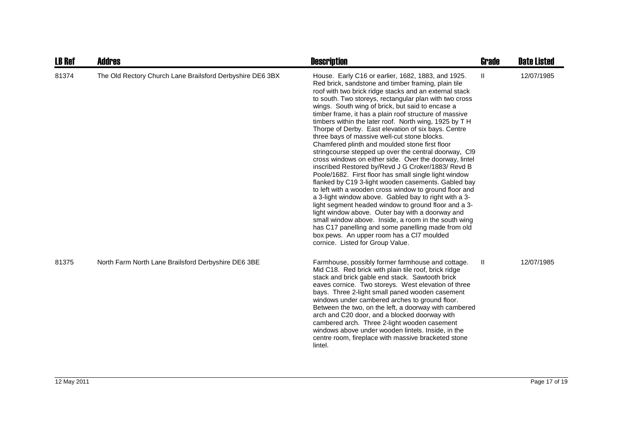| <b>LB Ref</b> | <b>Addres</b>                                             | <b>Description</b>                                                                                                                                                                                                                                                                                                                                                                                                                                                                                                                                                                                                                                                                                                                                                                                                                                                                                                                                                                                                                                                                                                                                                                                                                                                                     | <b>Grade</b> | <b>Date Listed</b> |
|---------------|-----------------------------------------------------------|----------------------------------------------------------------------------------------------------------------------------------------------------------------------------------------------------------------------------------------------------------------------------------------------------------------------------------------------------------------------------------------------------------------------------------------------------------------------------------------------------------------------------------------------------------------------------------------------------------------------------------------------------------------------------------------------------------------------------------------------------------------------------------------------------------------------------------------------------------------------------------------------------------------------------------------------------------------------------------------------------------------------------------------------------------------------------------------------------------------------------------------------------------------------------------------------------------------------------------------------------------------------------------------|--------------|--------------------|
| 81374         | The Old Rectory Church Lane Brailsford Derbyshire DE6 3BX | House. Early C16 or earlier, 1682, 1883, and 1925.<br>Red brick, sandstone and timber framing, plain tile<br>roof with two brick ridge stacks and an external stack<br>to south. Two storeys, rectangular plan with two cross<br>wings. South wing of brick, but said to encase a<br>timber frame, it has a plain roof structure of massive<br>timbers within the later roof. North wing, 1925 by T H<br>Thorpe of Derby. East elevation of six bays. Centre<br>three bays of massive well-cut stone blocks.<br>Chamfered plinth and moulded stone first floor<br>string course stepped up over the central doorway, CI9<br>cross windows on either side. Over the doorway, lintel<br>inscribed Restored by/Revd J G Croker/1883/ Revd B<br>Poole/1682. First floor has small single light window<br>flanked by C19 3-light wooden casements. Gabled bay<br>to left with a wooden cross window to ground floor and<br>a 3-light window above. Gabled bay to right with a 3-<br>light segment headed window to ground floor and a 3-<br>light window above. Outer bay with a doorway and<br>small window above. Inside, a room in the south wing<br>has C17 panelling and some panelling made from old<br>box pews. An upper room has a CI7 moulded<br>cornice. Listed for Group Value. | $\mathbf{H}$ | 12/07/1985         |
| 81375         | North Farm North Lane Brailsford Derbyshire DE6 3BE       | Farmhouse, possibly former farmhouse and cottage.<br>Mid C18. Red brick with plain tile roof, brick ridge<br>stack and brick gable end stack. Sawtooth brick<br>eaves cornice. Two storeys. West elevation of three<br>bays. Three 2-light small paned wooden casement<br>windows under cambered arches to ground floor.<br>Between the two, on the left, a doorway with cambered<br>arch and C20 door, and a blocked doorway with<br>cambered arch. Three 2-light wooden casement<br>windows above under wooden lintels. Inside, in the<br>centre room, fireplace with massive bracketed stone<br>lintel.                                                                                                                                                                                                                                                                                                                                                                                                                                                                                                                                                                                                                                                                             | Ш            | 12/07/1985         |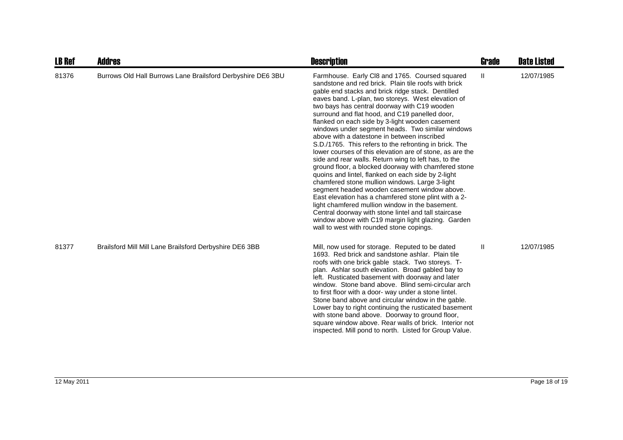| <b>LB Ref</b> | Addres                                                      | <b>Description</b>                                                                                                                                                                                                                                                                                                                                                                                                                                                                                                                                                                                                                                                                                                                                                                                                                                                                                                                                                                                                                                                                                                                           | <b>Grade</b> | <b>Date Listed</b> |
|---------------|-------------------------------------------------------------|----------------------------------------------------------------------------------------------------------------------------------------------------------------------------------------------------------------------------------------------------------------------------------------------------------------------------------------------------------------------------------------------------------------------------------------------------------------------------------------------------------------------------------------------------------------------------------------------------------------------------------------------------------------------------------------------------------------------------------------------------------------------------------------------------------------------------------------------------------------------------------------------------------------------------------------------------------------------------------------------------------------------------------------------------------------------------------------------------------------------------------------------|--------------|--------------------|
| 81376         | Burrows Old Hall Burrows Lane Brailsford Derbyshire DE6 3BU | Farmhouse. Early CI8 and 1765. Coursed squared<br>sandstone and red brick. Plain tile roofs with brick<br>gable end stacks and brick ridge stack. Dentilled<br>eaves band. L-plan, two storeys. West elevation of<br>two bays has central doorway with C19 wooden<br>surround and flat hood, and C19 panelled door,<br>flanked on each side by 3-light wooden casement<br>windows under segment heads. Two similar windows<br>above with a datestone in between inscribed<br>S.D./1765. This refers to the refronting in brick. The<br>lower courses of this elevation are of stone, as are the<br>side and rear walls. Return wing to left has, to the<br>ground floor, a blocked doorway with chamfered stone<br>quoins and lintel, flanked on each side by 2-light<br>chamfered stone mullion windows. Large 3-light<br>segment headed wooden casement window above.<br>East elevation has a chamfered stone plint with a 2-<br>light chamfered mullion window in the basement.<br>Central doorway with stone lintel and tall staircase<br>window above with C19 margin light glazing. Garden<br>wall to west with rounded stone copings. | Ш            | 12/07/1985         |
| 81377         | Brailsford Mill Mill Lane Brailsford Derbyshire DE6 3BB     | Mill, now used for storage. Reputed to be dated<br>1693. Red brick and sandstone ashlar. Plain tile<br>roofs with one brick gable stack. Two storeys. T-<br>plan. Ashlar south elevation. Broad gabled bay to<br>left. Rusticated basement with doorway and later<br>window. Stone band above. Blind semi-circular arch<br>to first floor with a door- way under a stone lintel.<br>Stone band above and circular window in the gable.<br>Lower bay to right continuing the rusticated basement<br>with stone band above. Doorway to ground floor,<br>square window above. Rear walls of brick. Interior not<br>inspected. Mill pond to north. Listed for Group Value.                                                                                                                                                                                                                                                                                                                                                                                                                                                                       | $\mathbf{H}$ | 12/07/1985         |